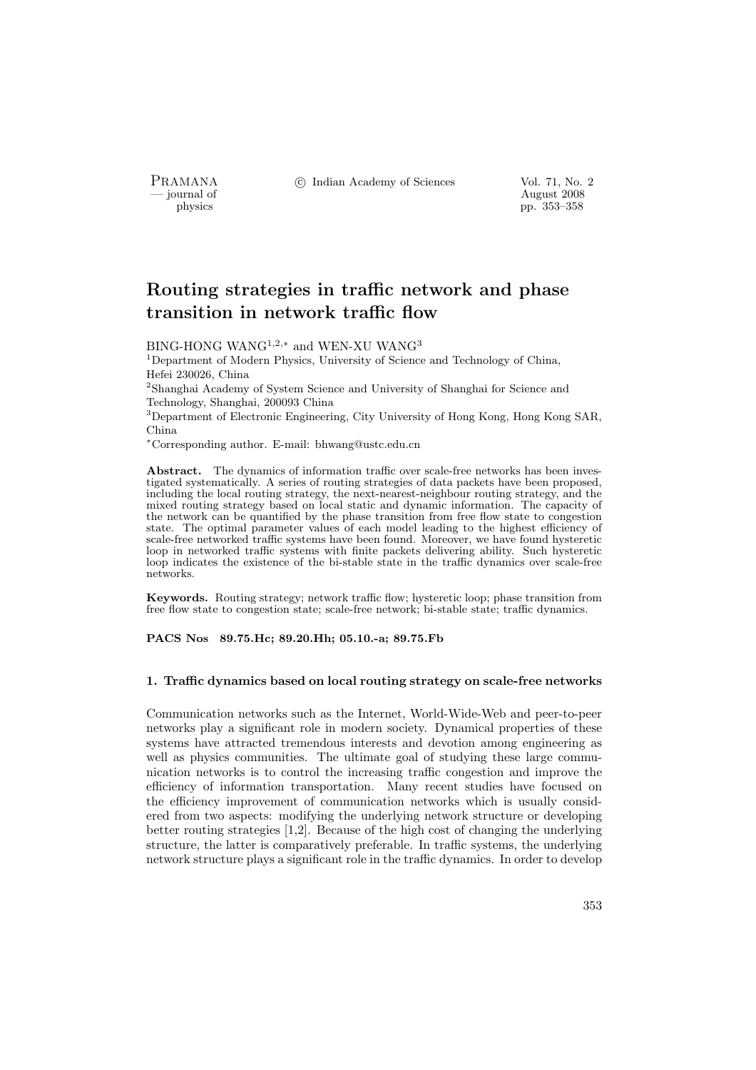PRAMANA <sup>3</sup> © Indian Academy of Sciences Vol. 71, No. 2

physics and the contract of the contract of the contract 2008 physics and the contract of the contract 2008 ph<br>  $\frac{1}{2}$  and the contract of the contract of the contract of the contract of the contract of the contract of physics pp. 353–358

# Routing strategies in traffic network and phase transition in network traffic flow

BING-HONG WANG<sup>1,2,\*</sup> and WEN-XU WANG<sup>3</sup>

<sup>1</sup>Department of Modern Physics, University of Science and Technology of China, Hefei 230026, China

<sup>2</sup>Shanghai Academy of System Science and University of Shanghai for Science and Technology, Shanghai, 200093 China

<sup>3</sup>Department of Electronic Engineering, City University of Hong Kong, Hong Kong SAR, China

<sup>∗</sup>Corresponding author. E-mail: bhwang@ustc.edu.cn

Abstract. The dynamics of information traffic over scale-free networks has been investigated systematically. A series of routing strategies of data packets have been proposed, including the local routing strategy, the next-nearest-neighbour routing strategy, and the mixed routing strategy based on local static and dynamic information. The capacity of the network can be quantified by the phase transition from free flow state to congestion state. The optimal parameter values of each model leading to the highest efficiency of scale-free networked traffic systems have been found. Moreover, we have found hysteretic loop in networked traffic systems with finite packets delivering ability. Such hysteretic loop indicates the existence of the bi-stable state in the traffic dynamics over scale-free networks.

Keywords. Routing strategy; network traffic flow; hysteretic loop; phase transition from free flow state to congestion state; scale-free network; bi-stable state; traffic dynamics.

PACS Nos 89.75.Hc; 89.20.Hh; 05.10.-a; 89.75.Fb

## 1. Traffic dynamics based on local routing strategy on scale-free networks

Communication networks such as the Internet, World-Wide-Web and peer-to-peer networks play a significant role in modern society. Dynamical properties of these systems have attracted tremendous interests and devotion among engineering as well as physics communities. The ultimate goal of studying these large communication networks is to control the increasing traffic congestion and improve the efficiency of information transportation. Many recent studies have focused on the efficiency improvement of communication networks which is usually considered from two aspects: modifying the underlying network structure or developing better routing strategies [1,2]. Because of the high cost of changing the underlying structure, the latter is comparatively preferable. In traffic systems, the underlying network structure plays a significant role in the traffic dynamics. In order to develop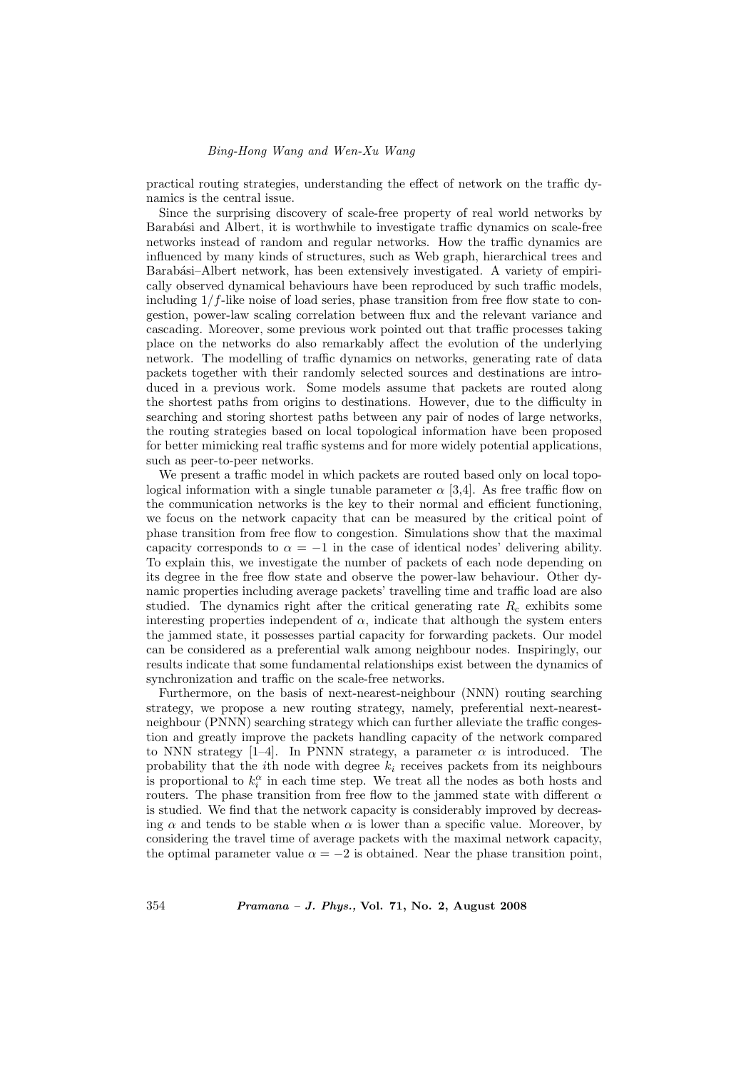practical routing strategies, understanding the effect of network on the traffic dynamics is the central issue.

Since the surprising discovery of scale-free property of real world networks by Barabási and Albert, it is worthwhile to investigate traffic dynamics on scale-free networks instead of random and regular networks. How the traffic dynamics are influenced by many kinds of structures, such as Web graph, hierarchical trees and Barabási–Albert network, has been extensively investigated. A variety of empirically observed dynamical behaviours have been reproduced by such traffic models, including  $1/f$ -like noise of load series, phase transition from free flow state to congestion, power-law scaling correlation between flux and the relevant variance and cascading. Moreover, some previous work pointed out that traffic processes taking place on the networks do also remarkably affect the evolution of the underlying network. The modelling of traffic dynamics on networks, generating rate of data packets together with their randomly selected sources and destinations are introduced in a previous work. Some models assume that packets are routed along the shortest paths from origins to destinations. However, due to the difficulty in searching and storing shortest paths between any pair of nodes of large networks, the routing strategies based on local topological information have been proposed for better mimicking real traffic systems and for more widely potential applications, such as peer-to-peer networks.

We present a traffic model in which packets are routed based only on local topological information with a single tunable parameter  $\alpha$  [3,4]. As free traffic flow on the communication networks is the key to their normal and efficient functioning, we focus on the network capacity that can be measured by the critical point of phase transition from free flow to congestion. Simulations show that the maximal capacity corresponds to  $\alpha = -1$  in the case of identical nodes' delivering ability. To explain this, we investigate the number of packets of each node depending on its degree in the free flow state and observe the power-law behaviour. Other dynamic properties including average packets' travelling time and traffic load are also studied. The dynamics right after the critical generating rate  $R_c$  exhibits some interesting properties independent of  $\alpha$ , indicate that although the system enters the jammed state, it possesses partial capacity for forwarding packets. Our model can be considered as a preferential walk among neighbour nodes. Inspiringly, our results indicate that some fundamental relationships exist between the dynamics of synchronization and traffic on the scale-free networks.

Furthermore, on the basis of next-nearest-neighbour (NNN) routing searching strategy, we propose a new routing strategy, namely, preferential next-nearestneighbour (PNNN) searching strategy which can further alleviate the traffic congestion and greatly improve the packets handling capacity of the network compared to NNN strategy [1–4]. In PNNN strategy, a parameter  $\alpha$  is introduced. The probability that the *i*th node with degree  $k_i$  receives packets from its neighbours is proportional to  $k_i^{\alpha}$  in each time step. We treat all the nodes as both hosts and routers. The phase transition from free flow to the jammed state with different  $\alpha$ is studied. We find that the network capacity is considerably improved by decreasing  $\alpha$  and tends to be stable when  $\alpha$  is lower than a specific value. Moreover, by considering the travel time of average packets with the maximal network capacity, the optimal parameter value  $\alpha = -2$  is obtained. Near the phase transition point,

354 Pramana – J. Phys., Vol. 71, No. 2, August 2008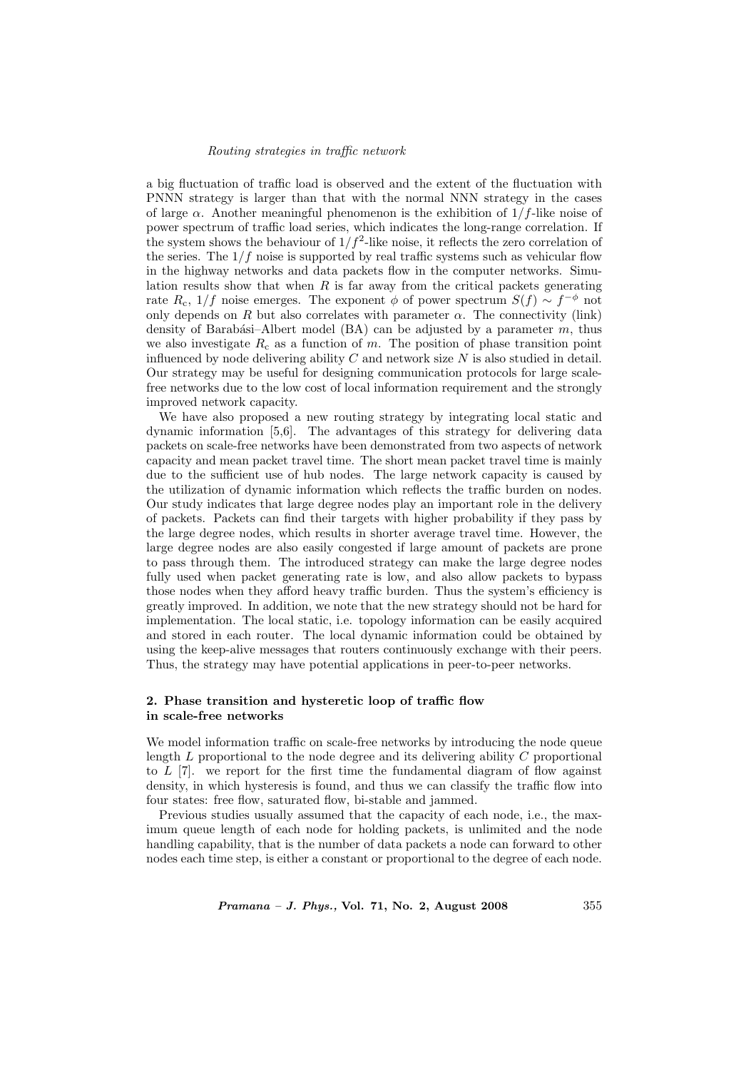### Routing strategies in traffic network

a big fluctuation of traffic load is observed and the extent of the fluctuation with PNNN strategy is larger than that with the normal NNN strategy in the cases of large  $\alpha$ . Another meaningful phenomenon is the exhibition of 1/f-like noise of power spectrum of traffic load series, which indicates the long-range correlation. If the system shows the behaviour of  $1/f^2$ -like noise, it reflects the zero correlation of the series. The  $1/f$  noise is supported by real traffic systems such as vehicular flow in the highway networks and data packets flow in the computer networks. Simulation results show that when  $R$  is far away from the critical packets generating rate  $R_c$ , 1/f noise emerges. The exponent  $\phi$  of power spectrum  $S(f) \sim f^{-\phi}$  not only depends on R but also correlates with parameter  $\alpha$ . The connectivity (link) density of Barabási–Albert model (BA) can be adjusted by a parameter  $m$ , thus we also investigate  $R_c$  as a function of m. The position of phase transition point influenced by node delivering ability  $C$  and network size  $N$  is also studied in detail. Our strategy may be useful for designing communication protocols for large scalefree networks due to the low cost of local information requirement and the strongly improved network capacity.

We have also proposed a new routing strategy by integrating local static and dynamic information [5,6]. The advantages of this strategy for delivering data packets on scale-free networks have been demonstrated from two aspects of network capacity and mean packet travel time. The short mean packet travel time is mainly due to the sufficient use of hub nodes. The large network capacity is caused by the utilization of dynamic information which reflects the traffic burden on nodes. Our study indicates that large degree nodes play an important role in the delivery of packets. Packets can find their targets with higher probability if they pass by the large degree nodes, which results in shorter average travel time. However, the large degree nodes are also easily congested if large amount of packets are prone to pass through them. The introduced strategy can make the large degree nodes fully used when packet generating rate is low, and also allow packets to bypass those nodes when they afford heavy traffic burden. Thus the system's efficiency is greatly improved. In addition, we note that the new strategy should not be hard for implementation. The local static, i.e. topology information can be easily acquired and stored in each router. The local dynamic information could be obtained by using the keep-alive messages that routers continuously exchange with their peers. Thus, the strategy may have potential applications in peer-to-peer networks.

## 2. Phase transition and hysteretic loop of traffic flow in scale-free networks

We model information traffic on scale-free networks by introducing the node queue length  $L$  proportional to the node degree and its delivering ability  $C$  proportional to  $L$  [7]. we report for the first time the fundamental diagram of flow against density, in which hysteresis is found, and thus we can classify the traffic flow into four states: free flow, saturated flow, bi-stable and jammed.

Previous studies usually assumed that the capacity of each node, i.e., the maximum queue length of each node for holding packets, is unlimited and the node handling capability, that is the number of data packets a node can forward to other nodes each time step, is either a constant or proportional to the degree of each node.

 $Pramana - J. Phys., Vol. 71, No. 2, August 2008$  355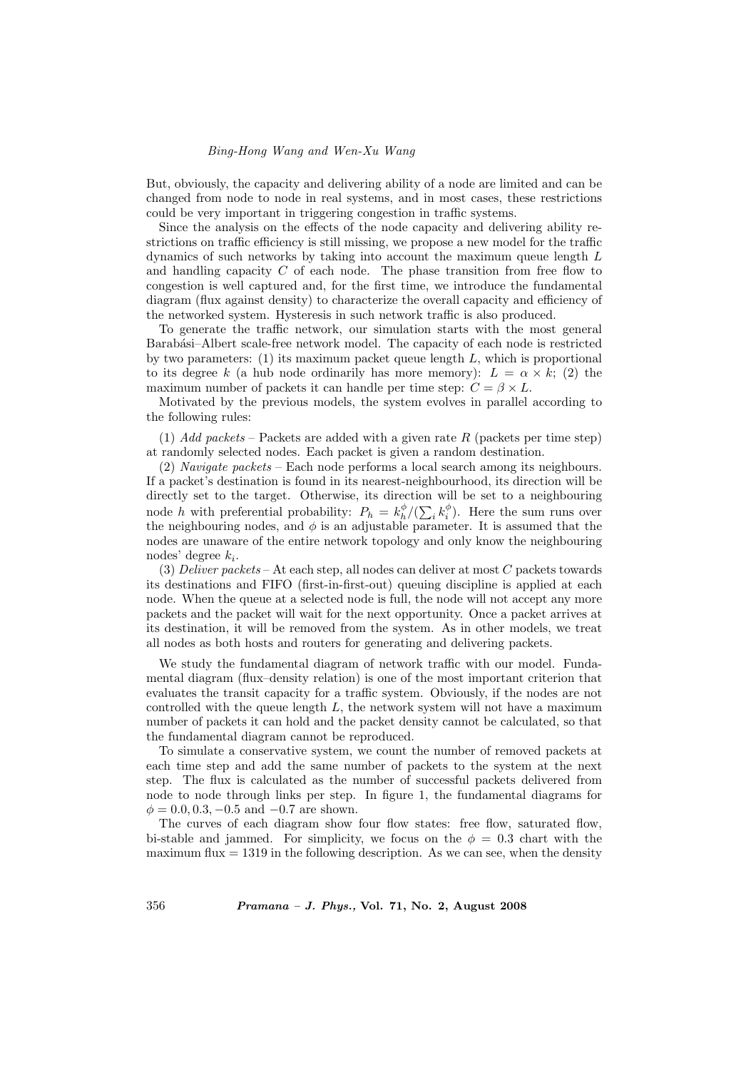## Bing-Hong Wang and Wen-Xu Wang

But, obviously, the capacity and delivering ability of a node are limited and can be changed from node to node in real systems, and in most cases, these restrictions could be very important in triggering congestion in traffic systems.

Since the analysis on the effects of the node capacity and delivering ability restrictions on traffic efficiency is still missing, we propose a new model for the traffic dynamics of such networks by taking into account the maximum queue length L and handling capacity C of each node. The phase transition from free flow to congestion is well captured and, for the first time, we introduce the fundamental diagram (flux against density) to characterize the overall capacity and efficiency of the networked system. Hysteresis in such network traffic is also produced.

To generate the traffic network, our simulation starts with the most general Barabási–Albert scale-free network model. The capacity of each node is restricted by two parameters:  $(1)$  its maximum packet queue length L, which is proportional to its degree k (a hub node ordinarily has more memory):  $L = \alpha \times k$ ; (2) the maximum number of packets it can handle per time step:  $C = \beta \times L$ .

Motivated by the previous models, the system evolves in parallel according to the following rules:

(1) Add packets – Packets are added with a given rate R (packets per time step) at randomly selected nodes. Each packet is given a random destination.

(2) Navigate packets – Each node performs a local search among its neighbours. If a packet's destination is found in its nearest-neighbourhood, its direction will be directly set to the target. Otherwise, its direction will be set to a neighbouring node h with preferential probability:  $P_h = k_h^{\phi}/(\sum_i k_i^{\phi})$ . Here the sum runs over the neighbouring nodes, and  $\phi$  is an adjustable parameter. It is assumed that the nodes are unaware of the entire network topology and only know the neighbouring nodes' degree  $k_i$ .

(3) Deliver packets – At each step, all nodes can deliver at most  $C$  packets towards its destinations and FIFO (first-in-first-out) queuing discipline is applied at each node. When the queue at a selected node is full, the node will not accept any more packets and the packet will wait for the next opportunity. Once a packet arrives at its destination, it will be removed from the system. As in other models, we treat all nodes as both hosts and routers for generating and delivering packets.

We study the fundamental diagram of network traffic with our model. Fundamental diagram (flux–density relation) is one of the most important criterion that evaluates the transit capacity for a traffic system. Obviously, if the nodes are not controlled with the queue length  $L$ , the network system will not have a maximum number of packets it can hold and the packet density cannot be calculated, so that the fundamental diagram cannot be reproduced.

To simulate a conservative system, we count the number of removed packets at each time step and add the same number of packets to the system at the next step. The flux is calculated as the number of successful packets delivered from node to node through links per step. In figure 1, the fundamental diagrams for  $\phi = 0.0, 0.3, -0.5$  and  $-0.7$  are shown.

The curves of each diagram show four flow states: free flow, saturated flow, bi-stable and jammed. For simplicity, we focus on the  $\phi = 0.3$  chart with the maximum flux  $= 1319$  in the following description. As we can see, when the density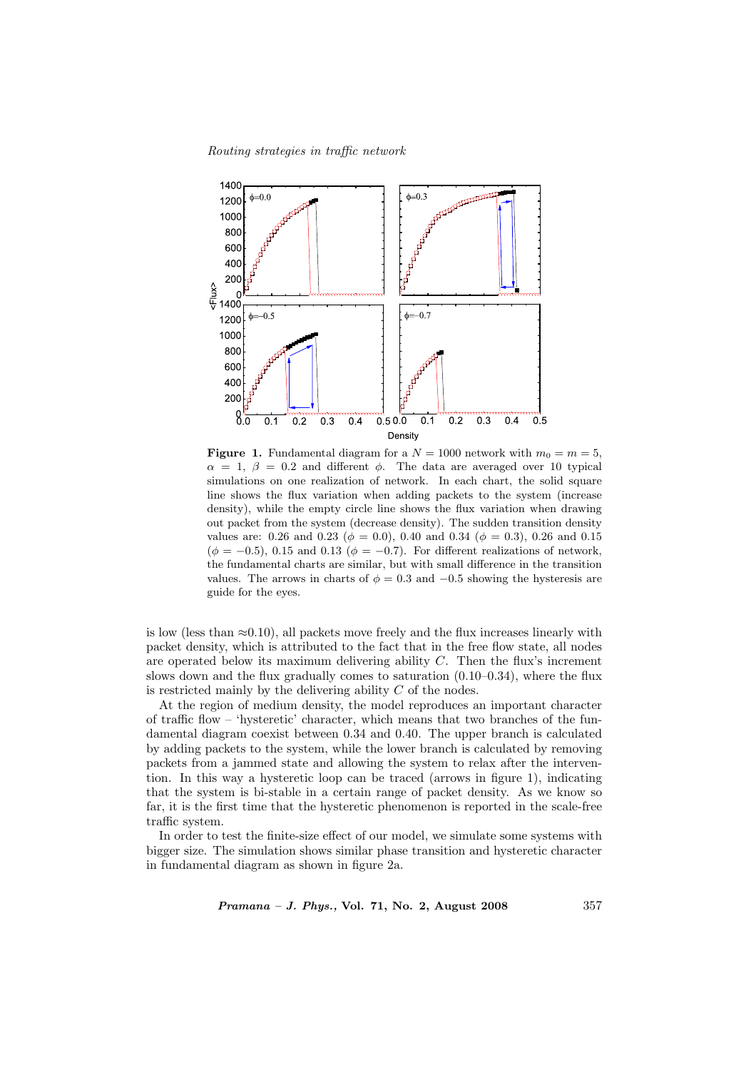Routing strategies in traffic network



**Figure 1.** Fundamental diagram for a  $N = 1000$  network with  $m_0 = m = 5$ ,  $\alpha = 1, \beta = 0.2$  and different  $\phi$ . The data are averaged over 10 typical simulations on one realization of network. In each chart, the solid square line shows the flux variation when adding packets to the system (increase density), while the empty circle line shows the flux variation when drawing out packet from the system (decrease density). The sudden transition density values are: 0.26 and 0.23 ( $\phi = 0.0$ ), 0.40 and 0.34 ( $\phi = 0.3$ ), 0.26 and 0.15  $(\phi = -0.5)$ , 0.15 and 0.13 ( $\phi = -0.7$ ). For different realizations of network, the fundamental charts are similar, but with small difference in the transition values. The arrows in charts of  $\phi = 0.3$  and  $-0.5$  showing the hysteresis are guide for the eyes.

is low (less than  $\approx 0.10$ ), all packets move freely and the flux increases linearly with packet density, which is attributed to the fact that in the free flow state, all nodes are operated below its maximum delivering ability C. Then the flux's increment slows down and the flux gradually comes to saturation  $(0.10-0.34)$ , where the flux is restricted mainly by the delivering ability  $C$  of the nodes.

At the region of medium density, the model reproduces an important character of traffic flow – 'hysteretic' character, which means that two branches of the fundamental diagram coexist between 0.34 and 0.40. The upper branch is calculated by adding packets to the system, while the lower branch is calculated by removing packets from a jammed state and allowing the system to relax after the intervention. In this way a hysteretic loop can be traced (arrows in figure 1), indicating that the system is bi-stable in a certain range of packet density. As we know so far, it is the first time that the hysteretic phenomenon is reported in the scale-free traffic system.

In order to test the finite-size effect of our model, we simulate some systems with bigger size. The simulation shows similar phase transition and hysteretic character in fundamental diagram as shown in figure 2a.

*Pramana – J. Phys.*, Vol. 71, No. 2, August 2008  $357$